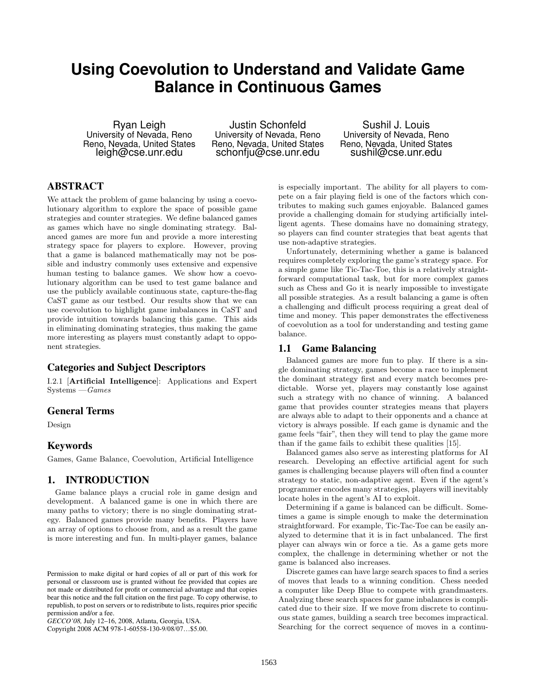# **Using Coevolution to Understand and Validate Game Balance in Continuous Games**

Ryan Leigh University of Nevada, Reno Reno, Nevada, United States leigh@cse.unr.edu

Justin Schonfeld University of Nevada, Reno Reno, Nevada, United States schonfju@cse.unr.edu

Sushil J. Louis University of Nevada, Reno Reno, Nevada, United States sushil@cse.unr.edu

# ABSTRACT

We attack the problem of game balancing by using a coevolutionary algorithm to explore the space of possible game strategies and counter strategies. We define balanced games as games which have no single dominating strategy. Balanced games are more fun and provide a more interesting strategy space for players to explore. However, proving that a game is balanced mathematically may not be possible and industry commonly uses extensive and expensive human testing to balance games. We show how a coevolutionary algorithm can be used to test game balance and use the publicly available continuous state, capture-the-flag CaST game as our testbed. Our results show that we can use coevolution to highlight game imbalances in CaST and provide intuition towards balancing this game. This aids in eliminating dominating strategies, thus making the game more interesting as players must constantly adapt to opponent strategies.

## Categories and Subject Descriptors

I.2.1 [Artificial Intelligence]: Applications and Expert Systems —Games

## General Terms

Design

# Keywords

Games, Game Balance, Coevolution, Artificial Intelligence

# 1. INTRODUCTION

Game balance plays a crucial role in game design and development. A balanced game is one in which there are many paths to victory; there is no single dominating strategy. Balanced games provide many benefits. Players have an array of options to choose from, and as a result the game is more interesting and fun. In multi-player games, balance

Copyright 2008 ACM 978-1-60558-130-9/08/07…\$5.00.

is especially important. The ability for all players to compete on a fair playing field is one of the factors which contributes to making such games enjoyable. Balanced games provide a challenging domain for studying artificially intelligent agents. These domains have no domaining strategy, so players can find counter strategies that beat agents that use non-adaptive strategies.

Unfortunately, determining whether a game is balanced requires completely exploring the game's strategy space. For a simple game like Tic-Tac-Toe, this is a relatively straightforward computational task, but for more complex games such as Chess and Go it is nearly impossible to investigate all possible strategies. As a result balancing a game is often a challenging and difficult process requiring a great deal of time and money. This paper demonstrates the effectiveness of coevolution as a tool for understanding and testing game balance.

## 1.1 Game Balancing

Balanced games are more fun to play. If there is a single dominating strategy, games become a race to implement the dominant strategy first and every match becomes predictable. Worse yet, players may constantly lose against such a strategy with no chance of winning. A balanced game that provides counter strategies means that players are always able to adapt to their opponents and a chance at victory is always possible. If each game is dynamic and the game feels "fair", then they will tend to play the game more than if the game fails to exhibit these qualities [15].

Balanced games also serve as interesting platforms for AI research. Developing an effective artificial agent for such games is challenging because players will often find a counter strategy to static, non-adaptive agent. Even if the agent's programmer encodes many strategies, players will inevitably locate holes in the agent's AI to exploit.

Determining if a game is balanced can be difficult. Sometimes a game is simple enough to make the determination straightforward. For example, Tic-Tac-Toe can be easily analyzed to determine that it is in fact unbalanced. The first player can always win or force a tie. As a game gets more complex, the challenge in determining whether or not the game is balanced also increases.

Discrete games can have large search spaces to find a series of moves that leads to a winning condition. Chess needed a computer like Deep Blue to compete with grandmasters. Analyzing these search spaces for game inbalances is complicated due to their size. If we move from discrete to continuous state games, building a search tree becomes impractical. Searching for the correct sequence of moves in a continu-

Permission to make digital or hard copies of all or part of this work for personal or classroom use is granted without fee provided that copies are not made or distributed for profit or commercial advantage and that copies bear this notice and the full citation on the first page. To copy otherwise, to republish, to post on servers or to redistribute to lists, requires prior specific permission and/or a fee.

*GECCO'08,* July 12–16, 2008, Atlanta, Georgia, USA.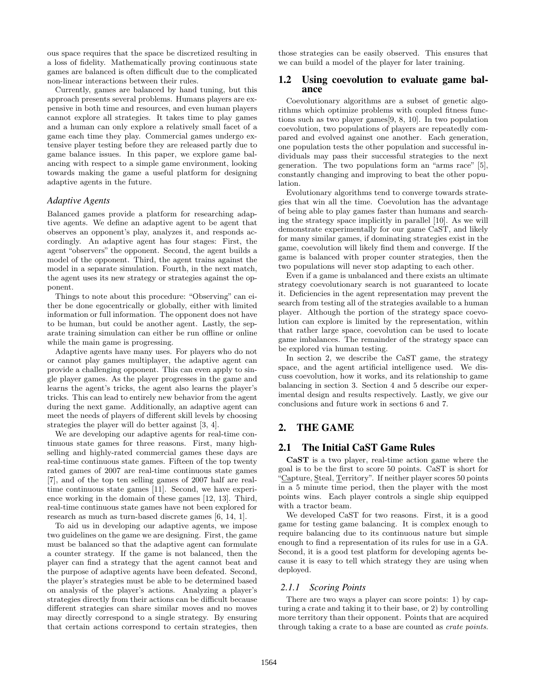ous space requires that the space be discretized resulting in a loss of fidelity. Mathematically proving continuous state games are balanced is often difficult due to the complicated non-linear interactions between their rules.

Currently, games are balanced by hand tuning, but this approach presents several problems. Humans players are expensive in both time and resources, and even human players cannot explore all strategies. It takes time to play games and a human can only explore a relatively small facet of a game each time they play. Commercial games undergo extensive player testing before they are released partly due to game balance issues. In this paper, we explore game balancing with respect to a simple game environment, looking towards making the game a useful platform for designing adaptive agents in the future.

#### *Adaptive Agents*

Balanced games provide a platform for researching adaptive agents. We define an adaptive agent to be agent that observes an opponent's play, analyzes it, and responds accordingly. An adaptive agent has four stages: First, the agent "observers" the opponent. Second, the agent builds a model of the opponent. Third, the agent trains against the model in a separate simulation. Fourth, in the next match, the agent uses its new strategy or strategies against the opponent.

Things to note about this procedure: "Observing" can either be done egocentrically or globally, either with limited information or full information. The opponent does not have to be human, but could be another agent. Lastly, the separate training simulation can either be run offline or online while the main game is progressing.

Adaptive agents have many uses. For players who do not or cannot play games multiplayer, the adaptive agent can provide a challenging opponent. This can even apply to single player games. As the player progresses in the game and learns the agent's tricks, the agent also learns the player's tricks. This can lead to entirely new behavior from the agent during the next game. Additionally, an adaptive agent can meet the needs of players of different skill levels by choosing strategies the player will do better against [3, 4].

We are developing our adaptive agents for real-time continuous state games for three reasons. First, many highselling and highly-rated commercial games these days are real-time continuous state games. Fifteen of the top twenty rated games of 2007 are real-time continuous state games [7], and of the top ten selling games of 2007 half are realtime continuous state games [11]. Second, we have experience working in the domain of these games [12, 13]. Third, real-time continuous state games have not been explored for research as much as turn-based discrete games [6, 14, 1].

To aid us in developing our adaptive agents, we impose two guidelines on the game we are designing. First, the game must be balanced so that the adaptive agent can formulate a counter strategy. If the game is not balanced, then the player can find a strategy that the agent cannot beat and the purpose of adaptive agents have been defeated. Second, the player's strategies must be able to be determined based on analysis of the player's actions. Analyzing a player's strategies directly from their actions can be difficult because different strategies can share similar moves and no moves may directly correspond to a single strategy. By ensuring that certain actions correspond to certain strategies, then

those strategies can be easily observed. This ensures that we can build a model of the player for later training.

#### 1.2 Using coevolution to evaluate game balance

Coevolutionary algorithms are a subset of genetic algorithms which optimize problems with coupled fitness functions such as two player games[9, 8, 10]. In two population coevolution, two populations of players are repeatedly compared and evolved against one another. Each generation, one population tests the other population and successful individuals may pass their successful strategies to the next generation. The two populations form an "arms race" [5], constantly changing and improving to beat the other population.

Evolutionary algorithms tend to converge towards strategies that win all the time. Coevolution has the advantage of being able to play games faster than humans and searching the strategy space implicitly in parallel [10]. As we will demonstrate experimentally for our game CaST, and likely for many similar games, if dominating strategies exist in the game, coevolution will likely find them and converge. If the game is balanced with proper counter strategies, then the two populations will never stop adapting to each other.

Even if a game is unbalanced and there exists an ultimate strategy coevolutionary search is not guaranteed to locate it. Deficiencies in the agent representation may prevent the search from testing all of the strategies available to a human player. Although the portion of the strategy space coevolution can explore is limited by the representation, within that rather large space, coevolution can be used to locate game imbalances. The remainder of the strategy space can be explored via human testing.

In section 2, we describe the CaST game, the strategy space, and the agent artificial intelligence used. We discuss coevolution, how it works, and its relationship to game balancing in section 3. Section 4 and 5 describe our experimental design and results respectively. Lastly, we give our conclusions and future work in sections 6 and 7.

# 2. THE GAME

# 2.1 The Initial CaST Game Rules

CaST is a two player, real-time action game where the goal is to be the first to score 50 points. CaST is short for "Capture, Steal, Territory". If neither player scores 50 points in a 5 minute time period, then the player with the most points wins. Each player controls a single ship equipped with a tractor beam.

We developed CaST for two reasons. First, it is a good game for testing game balancing. It is complex enough to require balancing due to its continuous nature but simple enough to find a representation of its rules for use in a GA. Second, it is a good test platform for developing agents because it is easy to tell which strategy they are using when deployed.

#### *2.1.1 Scoring Points*

There are two ways a player can score points: 1) by capturing a crate and taking it to their base, or 2) by controlling more territory than their opponent. Points that are acquired through taking a crate to a base are counted as crate points.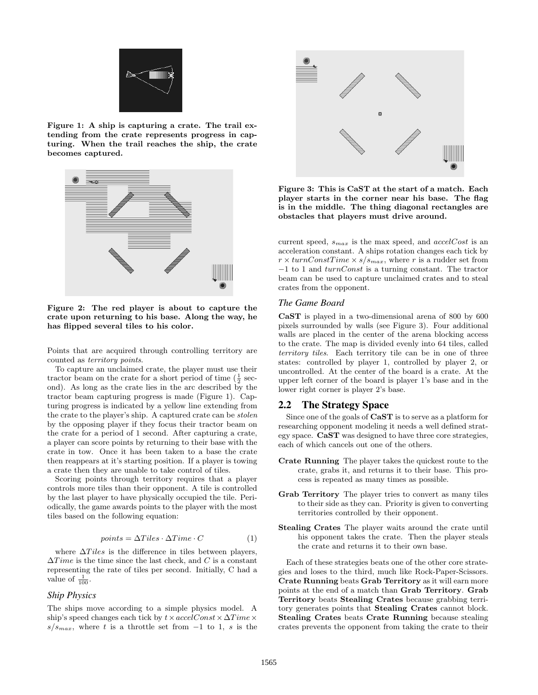

Figure 1: A ship is capturing a crate. The trail extending from the crate represents progress in capturing. When the trail reaches the ship, the crate becomes captured.



Figure 2: The red player is about to capture the crate upon returning to his base. Along the way, he has flipped several tiles to his color.

Points that are acquired through controlling territory are counted as territory points.

To capture an unclaimed crate, the player must use their tractor beam on the crate for a short period of time  $(\frac{1}{2}$  second). As long as the crate lies in the arc described by the tractor beam capturing progress is made (Figure 1). Capturing progress is indicated by a yellow line extending from the crate to the player's ship. A captured crate can be stolen by the opposing player if they focus their tractor beam on the crate for a period of 1 second. After capturing a crate, a player can score points by returning to their base with the crate in tow. Once it has been taken to a base the crate then reappears at it's starting position. If a player is towing a crate then they are unable to take control of tiles.

Scoring points through territory requires that a player controls more tiles than their opponent. A tile is controlled by the last player to have physically occupied the tile. Periodically, the game awards points to the player with the most tiles based on the following equation:

$$
points = \Delta Tiles \cdot \Delta Time \cdot C \tag{1}
$$

where  $\Delta Tiles$  is the difference in tiles between players,  $\Delta Time$  is the time since the last check, and C is a constant representing the rate of tiles per second. Initially, C had a value of  $\frac{1}{100}$ .

#### *Ship Physics*

The ships move according to a simple physics model. A ship's speed changes each tick by  $t \times accelerationst \times \Delta Time \times$  $s/s_{max}$ , where t is a throttle set from -1 to 1, s is the



Figure 3: This is CaST at the start of a match. Each player starts in the corner near his base. The flag is in the middle. The thing diagonal rectangles are obstacles that players must drive around.

current speed,  $s_{max}$  is the max speed, and  $accelCost$  is an acceleration constant. A ships rotation changes each tick by  $r \times turnConstTime \times s/s_{max}$ , where r is a rudder set from −1 to 1 and turnConst is a turning constant. The tractor beam can be used to capture unclaimed crates and to steal crates from the opponent.

#### *The Game Board*

CaST is played in a two-dimensional arena of 800 by 600 pixels surrounded by walls (see Figure 3). Four additional walls are placed in the center of the arena blocking access to the crate. The map is divided evenly into 64 tiles, called territory tiles. Each territory tile can be in one of three states: controlled by player 1, controlled by player 2, or uncontrolled. At the center of the board is a crate. At the upper left corner of the board is player 1's base and in the lower right corner is player 2's base.

#### 2.2 The Strategy Space

Since one of the goals of CaST is to serve as a platform for researching opponent modeling it needs a well defined strategy space. CaST was designed to have three core strategies, each of which cancels out one of the others.

- Crate Running The player takes the quickest route to the crate, grabs it, and returns it to their base. This process is repeated as many times as possible.
- Grab Territory The player tries to convert as many tiles to their side as they can. Priority is given to converting territories controlled by their opponent.
- Stealing Crates The player waits around the crate until his opponent takes the crate. Then the player steals the crate and returns it to their own base.

Each of these strategies beats one of the other core strategies and loses to the third, much like Rock-Paper-Scissors. Crate Running beats Grab Territory as it will earn more points at the end of a match than Grab Territory. Grab Territory beats Stealing Crates because grabbing territory generates points that Stealing Crates cannot block. Stealing Crates beats Crate Running because stealing crates prevents the opponent from taking the crate to their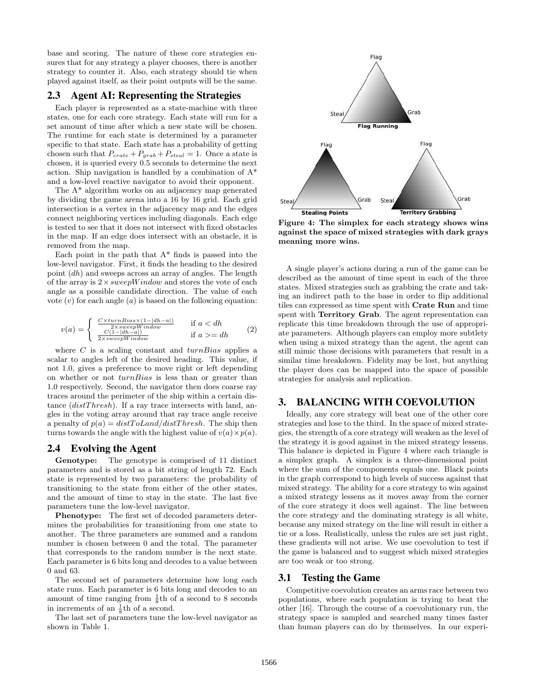base and scoring. The nature of these core strategies ensures that for any strategy a player chooses, there is another strategy to counter it. Also, each strategy should tie when played against itself, as their point outputs will be the same.

## 2.3 Agent AI: Representing the Strategies

Each player is represented as a state-machine with three states, one for each core strategy. Each state will run for a set amount of time after which a new state will be chosen. The runtime for each state is determined by a parameter specific to that state. Each state has a probability of getting chosen such that  $P_{crate} + P_{grab} + P_{steal} = 1$ . Once a state is chosen, it is queried every 0.5 seconds to determine the next action. Ship navigation is handled by a combination of A\* and a low-level reactive navigator to avoid their opponent.

The A\* algorithm works on an adjacency map generated by dividing the game arena into a 16 by 16 grid. Each grid intersection is a vertex in the adjacency map and the edges connect neighboring vertices including diagonals. Each edge is tested to see that it does not intersect with fixed obstacles in the map. If an edge does intersect with an obstacle, it is removed from the map.

Each point in the path that  $A^*$  finds is passed into the low-level navigator. First, it finds the heading to the desired point (dh) and sweeps across an array of angles. The length of the array is  $2 \times sweepWindow$  and stores the vote of each angle as a possible candidate direction. The value of each vote  $(v)$  for each angle  $(a)$  is based on the following equation:

$$
v(a) = \begin{cases} \frac{C \times turnBias \times (1 - |dh - a|)}{2 \times sweepWindow} & \text{if } a < dh \\ \frac{C(1 - |dh - a|)}{2 \times sweepWindow} & \text{if } a > = dh \end{cases} \tag{2}
$$

where  $C$  is a scaling constant and  $turnBias$  applies a scalar to angles left of the desired heading. This value, if not 1.0, gives a preference to move right or left depending on whether or not turnBias is less than or greater than 1.0 respectively. Second, the navigator then does coarse ray traces around the perimeter of the ship within a certain distance  $(distThresh)$ . If a ray trace intersects with land, angles in the voting array around that ray trace angle receive a penalty of  $p(a) = distToLand/distThresh$ . The ship then turns towards the angle with the highest value of  $v(a) \times p(a)$ .

## 2.4 Evolving the Agent

Genotype: The genotype is comprised of 11 distinct parameters and is stored as a bit string of length 72. Each state is represented by two parameters: the probability of transitioning to the state from either of the other states, and the amount of time to stay in the state. The last five parameters tune the low-level navigator.

Phenotype: The first set of decoded parameters determines the probabilities for transitioning from one state to another. The three parameters are summed and a random number is chosen between 0 and the total. The parameter that corresponds to the random number is the next state. Each parameter is 6 bits long and decodes to a value between 0 and 63.

The second set of parameters determine how long each state runs. Each parameter is 6 bits long and decodes to an amount of time ranging from  $\frac{1}{8}$ th of a second to 8 seconds in increments of an  $\frac{1}{8}$ th of a second.

The last set of parameters tune the low-level navigator as shown in Table 1.



Figure 4: The simplex for each strategy shows wins against the space of mixed strategies with dark grays meaning more wins.

A single player's actions during a run of the game can be described as the amount of time spent in each of the three states. Mixed strategies such as grabbing the crate and taking an indirect path to the base in order to flip additional tiles can expressed as time spent with Crate Run and time spent with Territory Grab. The agent representation can replicate this time breakdown through the use of appropriate parameters. Although players can employ more subtlety when using a mixed strategy than the agent, the agent can still mimic those decisions with parameters that result in a similar time breakdown. Fidelity may be lost, but anything the player does can be mapped into the space of possible strategies for analysis and replication.

# 3. BALANCING WITH COEVOLUTION

Ideally, any core strategy will beat one of the other core strategies and lose to the third. In the space of mixed strategies, the strength of a core strategy will weaken as the level of the strategy it is good against in the mixed strategy lessens. This balance is depicted in Figure 4 where each triangle is a simplex graph. A simplex is a three-dimensional point where the sum of the components equals one. Black points in the graph correspond to high levels of success against that mixed strategy. The ability for a core strategy to win against a mixed strategy lessens as it moves away from the corner of the core strategy it does well against. The line between the core strategy and the dominating strategy is all white, because any mixed strategy on the line will result in either a tie or a loss. Realistically, unless the rules are set just right, these gradients will not arise. We use coevolution to test if the game is balanced and to suggest which mixed strategies are too weak or too strong.

#### 3.1 Testing the Game

Competitive coevolution creates an arms race between two populations, where each population is trying to beat the other [16]. Through the course of a coevolutionary run, the strategy space is sampled and searched many times faster than human players can do by themselves. In our experi-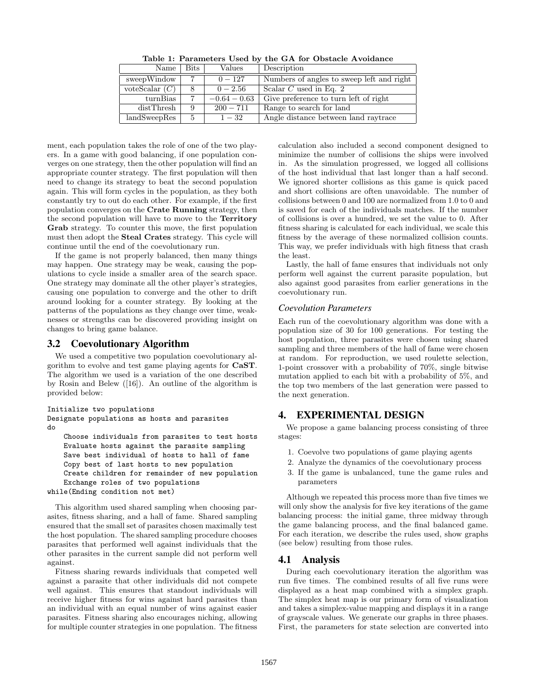Table 1: Parameters Used by the GA for Obstacle Avoidance

| Name             | Bits         | Values         | Description                               |
|------------------|--------------|----------------|-------------------------------------------|
| sweepWindow      |              | $0 - 127$      | Numbers of angles to sweep left and right |
| voteScalar $(C)$ | $\mathbf{8}$ | $0 - 2.56$     | Scalar $C$ used in Eq. 2                  |
| turnBias         |              | $-0.64 - 0.63$ | Give preference to turn left of right     |
| distThresh       | 9            | $200 - 711$    | Range to search for land                  |
| landSweepRes     | 5            | $1 - 32$       | Angle distance between land raytrace      |

ment, each population takes the role of one of the two players. In a game with good balancing, if one population converges on one strategy, then the other population will find an appropriate counter strategy. The first population will then need to change its strategy to beat the second population again. This will form cycles in the population, as they both constantly try to out do each other. For example, if the first population converges on the Crate Running strategy, then the second population will have to move to the Territory Grab strategy. To counter this move, the first population must then adopt the Steal Crates strategy. This cycle will continue until the end of the coevolutionary run.

If the game is not properly balanced, then many things may happen. One strategy may be weak, causing the populations to cycle inside a smaller area of the search space. One strategy may dominate all the other player's strategies, causing one population to converge and the other to drift around looking for a counter strategy. By looking at the patterns of the populations as they change over time, weaknesses or strengths can be discovered providing insight on changes to bring game balance.

#### 3.2 Coevolutionary Algorithm

We used a competitive two population coevolutionary algorithm to evolve and test game playing agents for CaST. The algorithm we used is a variation of the one described by Rosin and Belew ([16]). An outline of the algorithm is provided below:

```
Initialize two populations
Designate populations as hosts and parasites
do
    Choose individuals from parasites to test hosts
   Evaluate hosts against the parasite sampling
   Save best individual of hosts to hall of fame
    Copy best of last hosts to new population
    Create children for remainder of new population
    Exchange roles of two populations
while(Ending condition not met)
```
This algorithm used shared sampling when choosing parasites, fitness sharing, and a hall of fame. Shared sampling ensured that the small set of parasites chosen maximally test the host population. The shared sampling procedure chooses parasites that performed well against individuals that the other parasites in the current sample did not perform well against.

Fitness sharing rewards individuals that competed well against a parasite that other individuals did not compete well against. This ensures that standout individuals will receive higher fitness for wins against hard parasites than an individual with an equal number of wins against easier parasites. Fitness sharing also encourages niching, allowing for multiple counter strategies in one population. The fitness calculation also included a second component designed to minimize the number of collisions the ships were involved in. As the simulation progressed, we logged all collisions of the host individual that last longer than a half second. We ignored shorter collisions as this game is quick paced and short collisions are often unavoidable. The number of collisions between 0 and 100 are normalized from 1.0 to 0 and is saved for each of the individuals matches. If the number of collisions is over a hundred, we set the value to 0. After fitness sharing is calculated for each individual, we scale this fitness by the average of these normalized collision counts. This way, we prefer individuals with high fitness that crash the least.

Lastly, the hall of fame ensures that individuals not only perform well against the current parasite population, but also against good parasites from earlier generations in the coevolutionary run.

#### *Coevolution Parameters*

Each run of the coevolutionary algorithm was done with a population size of 30 for 100 generations. For testing the host population, three parasites were chosen using shared sampling and three members of the hall of fame were chosen at random. For reproduction, we used roulette selection, 1-point crossover with a probability of 70%, single bitwise mutation applied to each bit with a probability of 5%, and the top two members of the last generation were passed to the next generation.

# 4. EXPERIMENTAL DESIGN

We propose a game balancing process consisting of three stages:

- 1. Coevolve two populations of game playing agents
- 2. Analyze the dynamics of the coevolutionary process
- 3. If the game is unbalanced, tune the game rules and parameters

Although we repeated this process more than five times we will only show the analysis for five key iterations of the game balancing process: the initial game, three midway through the game balancing process, and the final balanced game. For each iteration, we describe the rules used, show graphs (see below) resulting from those rules.

# 4.1 Analysis

During each coevolutionary iteration the algorithm was run five times. The combined results of all five runs were displayed as a heat map combined with a simplex graph. The simplex heat map is our primary form of visualization and takes a simplex-value mapping and displays it in a range of grayscale values. We generate our graphs in three phases. First, the parameters for state selection are converted into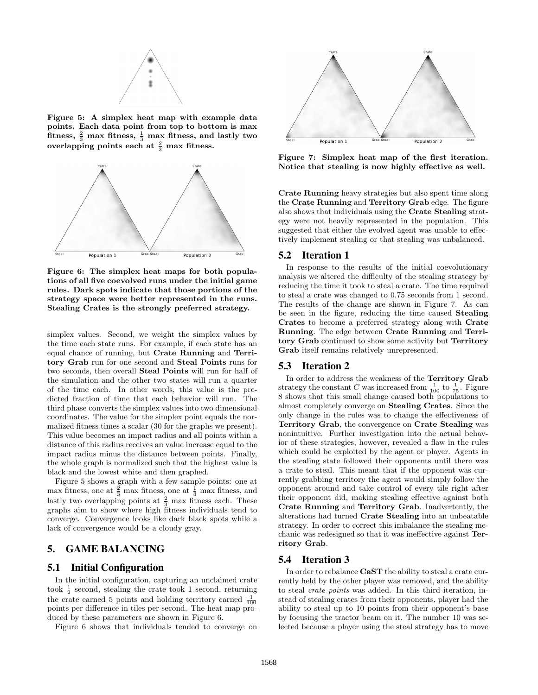

Figure 5: A simplex heat map with example data points. Each data point from top to bottom is max fitness,  $\frac{2}{3}$  max fitness,  $\frac{1}{3}$  max fitness, and lastly two overlapping points each at  $\frac{2}{3}$  max fitness.



Figure 6: The simplex heat maps for both populations of all five coevolved runs under the initial game rules. Dark spots indicate that those portions of the strategy space were better represented in the runs. Stealing Crates is the strongly preferred strategy.

simplex values. Second, we weight the simplex values by the time each state runs. For example, if each state has an equal chance of running, but Crate Running and Territory Grab run for one second and Steal Points runs for two seconds, then overall Steal Points will run for half of the simulation and the other two states will run a quarter of the time each. In other words, this value is the predicted fraction of time that each behavior will run. The third phase converts the simplex values into two dimensional coordinates. The value for the simplex point equals the normalized fitness times a scalar (30 for the graphs we present). This value becomes an impact radius and all points within a distance of this radius receives an value increase equal to the impact radius minus the distance between points. Finally, the whole graph is normalized such that the highest value is black and the lowest white and then graphed.

Figure 5 shows a graph with a few sample points: one at max fitness, one at  $\frac{2}{3}$  max fitness, one at  $\frac{1}{3}$  max fitness, and lastly two overlapping points at  $\frac{2}{3}$  max fitness each. These graphs aim to show where high fitness individuals tend to converge. Convergence looks like dark black spots while a lack of convergence would be a cloudy gray.

# 5. GAME BALANCING

## 5.1 Initial Configuration

In the initial configuration, capturing an unclaimed crate took  $\frac{1}{2}$  second, stealing the crate took 1 second, returning the crate earned 5 points and holding territory earned  $\frac{1}{100}$ points per difference in tiles per second. The heat map produced by these parameters are shown in Figure 6.

Figure 6 shows that individuals tended to converge on



Figure 7: Simplex heat map of the first iteration. Notice that stealing is now highly effective as well.

Crate Running heavy strategies but also spent time along the Crate Running and Territory Grab edge. The figure also shows that individuals using the Crate Stealing strategy were not heavily represented in the population. This suggested that either the evolved agent was unable to effectively implement stealing or that stealing was unbalanced.

#### 5.2 Iteration 1

In response to the results of the initial coevolutionary analysis we altered the difficulty of the stealing strategy by reducing the time it took to steal a crate. The time required to steal a crate was changed to 0.75 seconds from 1 second. The results of the change are shown in Figure 7. As can be seen in the figure, reducing the time caused Stealing Crates to become a preferred strategy along with Crate Running. The edge between Crate Running and Territory Grab continued to show some activity but Territory Grab itself remains relatively unrepresented.

# 5.3 Iteration 2

In order to address the weakness of the Territory Grab strategy the constant C was increased from  $\frac{1}{100}$  to  $\frac{1}{75}$ . Figure 8 shows that this small change caused both populations to almost completely converge on Stealing Crates. Since the only change in the rules was to change the effectiveness of Territory Grab, the convergence on Crate Stealing was nonintuitive. Further investigation into the actual behavior of these strategies, however, revealed a flaw in the rules which could be exploited by the agent or player. Agents in the stealing state followed their opponents until there was a crate to steal. This meant that if the opponent was currently grabbing territory the agent would simply follow the opponent around and take control of every tile right after their opponent did, making stealing effective against both Crate Running and Territory Grab. Inadvertently, the alterations had turned Crate Stealing into an unbeatable strategy. In order to correct this imbalance the stealing mechanic was redesigned so that it was ineffective against Territory Grab.

# 5.4 Iteration 3

In order to rebalance CaST the ability to steal a crate currently held by the other player was removed, and the ability to steal crate points was added. In this third iteration, instead of stealing crates from their opponents, player had the ability to steal up to 10 points from their opponent's base by focusing the tractor beam on it. The number 10 was selected because a player using the steal strategy has to move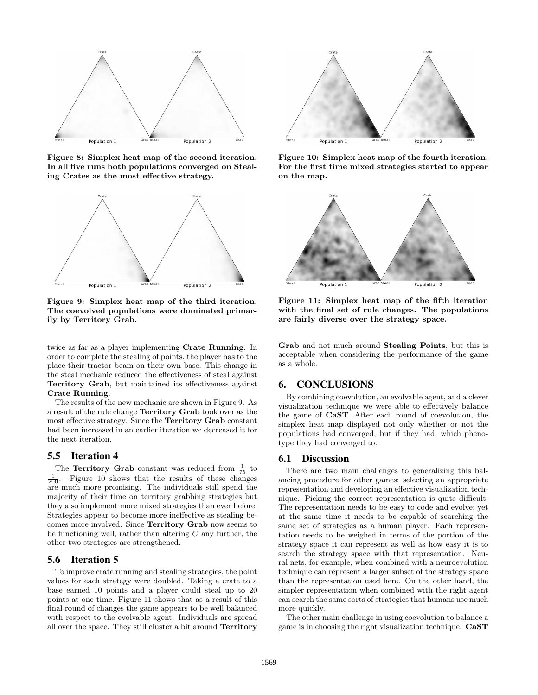

Figure 8: Simplex heat map of the second iteration. In all five runs both populations converged on Stealing Crates as the most effective strategy.



Figure 9: Simplex heat map of the third iteration. The coevolved populations were dominated primarily by Territory Grab.

twice as far as a player implementing Crate Running. In order to complete the stealing of points, the player has to the place their tractor beam on their own base. This change in the steal mechanic reduced the effectiveness of steal against Territory Grab, but maintained its effectiveness against Crate Running.

The results of the new mechanic are shown in Figure 9. As a result of the rule change Territory Grab took over as the most effective strategy. Since the Territory Grab constant had been increased in an earlier iteration we decreased it for the next iteration.

## 5.5 Iteration 4

The **Territory Grab** constant was reduced from  $\frac{1}{75}$  to  $\frac{1}{200}$ . Figure 10 shows that the results of these changes are much more promising. The individuals still spend the majority of their time on territory grabbing strategies but they also implement more mixed strategies than ever before. Strategies appear to become more ineffective as stealing becomes more involved. Since Territory Grab now seems to be functioning well, rather than altering  $C$  any further, the other two strategies are strengthened.

# 5.6 Iteration 5

To improve crate running and stealing strategies, the point values for each strategy were doubled. Taking a crate to a base earned 10 points and a player could steal up to 20 points at one time. Figure 11 shows that as a result of this final round of changes the game appears to be well balanced with respect to the evolvable agent. Individuals are spread all over the space. They still cluster a bit around Territory



Figure 10: Simplex heat map of the fourth iteration. For the first time mixed strategies started to appear on the map.



Figure 11: Simplex heat map of the fifth iteration with the final set of rule changes. The populations are fairly diverse over the strategy space.

Grab and not much around Stealing Points, but this is acceptable when considering the performance of the game as a whole.

## 6. CONCLUSIONS

By combining coevolution, an evolvable agent, and a clever visualization technique we were able to effectively balance the game of CaST. After each round of coevolution, the simplex heat map displayed not only whether or not the populations had converged, but if they had, which phenotype they had converged to.

## 6.1 Discussion

There are two main challenges to generalizing this balancing procedure for other games: selecting an appropriate representation and developing an effective visualization technique. Picking the correct representation is quite difficult. The representation needs to be easy to code and evolve; yet at the same time it needs to be capable of searching the same set of strategies as a human player. Each representation needs to be weighed in terms of the portion of the strategy space it can represent as well as how easy it is to search the strategy space with that representation. Neural nets, for example, when combined with a neuroevolution technique can represent a larger subset of the strategy space than the representation used here. On the other hand, the simpler representation when combined with the right agent can search the same sorts of strategies that humans use much more quickly.

The other main challenge in using coevolution to balance a game is in choosing the right visualization technique. CaST